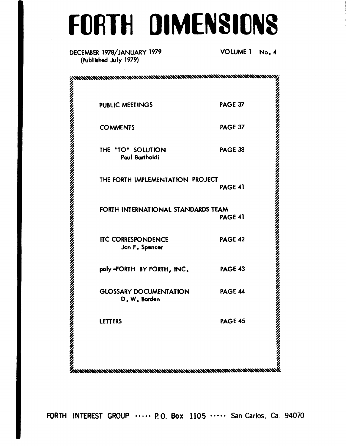# **FORTH DIMENSIONS**

# DECEMBER 1978/JANUARY 1979 (Published July 1979)

VOLUME 1 No. 4

| <b>PUBLIC MEETINGS</b>                                                                                                                                                                                                             | <b>PAGE 37</b> |
|------------------------------------------------------------------------------------------------------------------------------------------------------------------------------------------------------------------------------------|----------------|
| <b>COMMENTS</b>                                                                                                                                                                                                                    | PAGE 37        |
| THE "TO" SOLUTION<br>Paul Bartholdi                                                                                                                                                                                                | PAGE 38        |
| THE FORTH IMPLEMENTATION PROJECT                                                                                                                                                                                                   | <b>PAGE 41</b> |
| FORTH INTERNATIONAL STANDARDS TEAM                                                                                                                                                                                                 | <b>PAGE 41</b> |
| <b>ITC CORRESPONDENCE</b><br>Jon F. Spencer                                                                                                                                                                                        | <b>PAGE 42</b> |
| poly-FORTH BY FORTH, INC.                                                                                                                                                                                                          | <b>PAGE 43</b> |
| <b>GLOSSARY DOCUMENTATION</b><br>D.W. Borden                                                                                                                                                                                       | PAGE 44        |
| LETTERS                                                                                                                                                                                                                            | <b>PAGE 45</b> |
| EETTERS<br>PAGE 45<br>MANAHAMANAHAMANAHAMANAHAMANAHAMANAHAMANAHAMANAHAMANAHAMANAHAMANAHAMANAHAMANAHAMANAHAMANAHAMANAHAMANAHAMANAHAMANAHAMANAHAMANAHAMANAHAMANAHAMANAHAMANAHAMANAHAMANAHAMANAHAMANAHAMANAHAMANAHAMANAHAMANAHAMANAHA |                |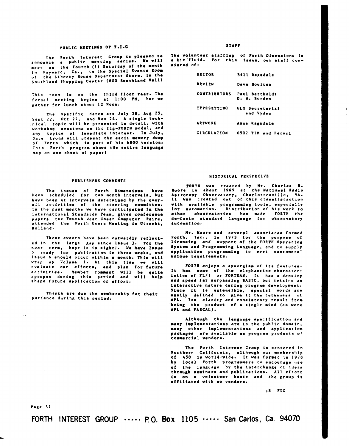## PUBLIC **MEETINGS O? F.1.O**

The Forth Interart Croup **la** pleared **to**  announce **a** public meeting aeries. **Ye** will announce a public meeting series, we wanth<br>meet on the fourth (I) Saturday of the month<br>example of the Sandasi Events Room in Hayward. Ca., tn the Spacial Events **ROO.**  of sou thland Shopping Centar *(800* Southland **Hell)**  the Liberty House Department Store, in the

This **room is on** the third **floor** rear- The formal meeting begins at **1:00 PM.** but **we**  gather for lunch about **12 Noon.** 

The specific dates are July **26.** Aua **25,**  Sept *22.* Dct **27.** and Nov 2b. **A stogle** technlcal topic will be presented in detail, with uorkahop **seaaiona on** the fig-FORTH model, and any topics of immediate interest. **In** July. **Dave** Lyons will present the **aacii** memory dump of Forth which **is** part of **his** *6800* veraion. This Forth program shows the entire language map on one sheet of paper1

### PUBLISHERS COMMENTS

The issues of Forth Dimensions have<br>been scheduled for two month intervals, but have bean at intervals determioed by the over- all actlvities **of** the steering consittee. In the past months we have participated in the International Standards Team, given conference papers the Fourth West Coast Computer Faire, attended the Forth Users Meeting in Utrecht, Holland.

These events have been outvardly reflected in the **large** gap since Iasue 3. **lor** the near term, hope **is tn** sightf. **Ye** have Ieaue 5 ready for publication in three **weeka,** and **Issue 6** should occur within **a** month. Thia **will**  1. At this time we will evaluate our efforts, and plan for future activities. Member comment will be quite apropos during thls period and **will** help shape future application of effort.

Thanks **are** due the memberahip **fot** their patience during thls period.

**S** *TA??* 

The volunteer ataffing **of** lorth Dimensions **16 a** bit'fluid. **?or** this issue. our staff consiatad **of:** 

| <b>EDITOR</b>       | <b>Bill Regadale</b>           |
|---------------------|--------------------------------|
| REVIFU              | Dave Boulton                   |
| <b>CONTRIBUTORS</b> | Paul Barrholdt<br>D. W. Borden |
| <b>TYPESETTING</b>  | GLG Secretarial<br>and Vydec   |
| <b>ARTWORK</b>      | Anne Ragsdale                  |
| <b>CIRCULATION</b>  | 6502 TIM and Persci            |

## HISTORICAL PERSPECIVE

FORTH was created by Mr. Charles H.<br>Moore in about 1969 at the National Radio<br>Astronomy Observatory, Charlottesville, VA.<br>It was created out of this dissatisfaction with available programming tools. especially for automation. Diatribution **of** his **vork** to other observatories has made **FORTH** the de-facto standard language for observatory automatioo.

**Nr. Moore** and several amsociatea forred Forth. lnc., in **1973** for the purpose **of**  licensing and support of the **FORTH** Operating System and Programming Language, and to supply application programming to meet customers unique requirements.

*FORTH* enjoy8 **a** synergism **of** its features. It her none **of** the elephantine characteristics **of** PL/l **or FORTRAY.** It **has a** density and speed far aurpaasing BASIC, but retains an interactive nature during program development. Since it is extensible, special words are **eaaily** defined to give it the terseness **of APL.** Its clarity end conslatency result from **beiog** the product **of e** aingle mind **(as were**  APL end PASCAL).

Although the language specification and **many** impleaeotations are in the public domain. many other implementations and application<br>packages are available as program products of are available as program products of **c ommo r** c **1 a 1** ve ado **r a.** 

The Forth Interest Croup **is** centered in Northern California, although our membership of **456 is** vorld-wide. lt **was** formed tn **<sup>1978</sup> by** locel Forth prograaaers to encourage **use of** the language by the interchange **of ideas**  through seminars and publications. All effort **ia on a** volunteer basia and the group **is**  effiliated vith **no** vendors.

**:S FIG** 

Page **37** 

 $\frac{1}{2}$ 

**L** 

**FORTH INTEREST GROUP** \*\*\*\*\* **PO. BOX 1105** \*\*\*\*. **San Carlos,** *Ca.* **94070**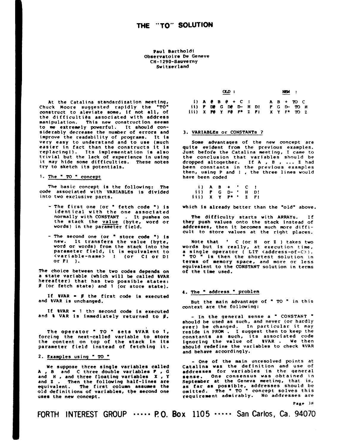**Paul Bartholdi CH- 1 290-Sauverny Sw i t rerland Observatoire De Geneve** 

**At the Catalina standardization meeting, Chuck Moore suggested rapidly the 'TO' construct to aleviate some, if not all, of**  the difficulties associated with address **manipulation. This new construction seems to me extremely powerful. It should con- siderably decrease the number of errors and improve the readability of programs. It is very easy to understand and to use (much easier in fact than the constructs It is replacing!). Its implementat ion is also trivial but the lack of experience in using it may hide some difficulties. These notes try to sketch its potentials.** 

# 1. The " TO " concept

**The basic concept is the following: The code associated with -VARIABLES is divided into two exclusive parts.** 

- **The first one (or** ' **fetch code "1 is identical with the one associated normally with CONSTANT** . **It pushes on the stack the value (byte, word or words) in the parxer field.**
- **The second one (or store code '1 is new. It transfers the value (byte, word or words) from the stack into the parameter field, it is equivalent to <variable-name>** ! **(or CI or D! or PI** ).

**The choice between the two codes depends on a state variable (which will be called WAR hereafter) that has two possible states:**  *0* **(or fetch state) and 1 (or store state).** 

**If WAR** = *0* **the first code is executed and %VAR is unchanged.** 

**If WAR** = **1 th? second code is executed and** *8* **VAR is immediately returned to I.** 

**The operator** ' **TO** ' **sets 8VAR to 1, forcing the next-called variable to store the content on top of the stack in its parameter field instead of fetching it. 2. Examples using** ' **TO** "

**We suppose three single variables called <sup>A</sup>**, **B and C three double variables** *Q* , **<sup>C</sup> and H** , **and three floating variables X** , **<sup>Y</sup> and <sup>2</sup>**. **Then the following half-llnes are equivalent. The first column assumes the old definitions of variables, the second one uses the new concept.** 

|  |  | $\alpha$ <sub>p</sub> : |  |                                                             |        | NEW : |     |  |
|--|--|-------------------------|--|-------------------------------------------------------------|--------|-------|-----|--|
|  |  |                         |  | $i)$ <b>A</b> $\theta$ B $\theta$ + C $i$ <b>A</b> B + TO C |        |       |     |  |
|  |  |                         |  | ii) $P$ $DP$ $G$ $DP$ $D H$ $D!$ $P$ $G$ $D TO$ $H$         |        |       |     |  |
|  |  |                         |  | iii) X PO Y PO P* Z P!                                      | XXY F* |       | TQZ |  |

## **3. VARIABLES or CONSTANTS** *7*

**Some advantaqes of the new concept are quite evident from the previous examples. Just befor'e the Catalina meeting, I came to the conclusion that variables should be dropped altoqether. If A** , *0* , ... **<sup>2</sup>had been constants in the previous examples then, using P and 1** , **the three lines would have been coded** 

**i)AB+'C! iii) x Y p\* 2 F! ii) P G D-** ' **H D!** 

**which is already better than the 'old' above.** 

**The difficulty starts with ARRAYS. If they push values onto the stack instead of addresses, then it becomes much more difficult to store values at the right places.** 

**Note that** ' **C (or H or 2** ) **takes two a single operator ( LIT <address-of-C>).**<br>" **TO** " is then the shortest solution in **F** is then the shortest solution in **terms of memory space, and more or less equivalent to the CONSTANT solution in terms of the time used.** 

## **4. The address** ' **problem**

**But the main advantage of** ' **TO** ' **in this context are the following:** 

- **In the general sense a** ' **CONSTANT** ' **should be used as such, and never (or hardly ever) be changed. In particular it may reside in PROM** . **I suggest then to keep the constants as such, its associated code ignoring the value of 8VAR** . **We then should redefine the variables to check RVAR and behave accordingly.** 

- **One of the main unresolved points at Cataltna was the definition and use of addresses for variables in the qeneral sense. One consensus was obtained in September at the Geneva meeting, that is, as far as possible, addresses should be omitted. The** ' **TO** ' **concept solves this requirement admirably. No addresses are** 

**Page 38** 

**FORTH INTEREST GROUP**  $\cdots$  **P.O. Box 1105**  $\cdots$  **San Carlos, Ca. 94070**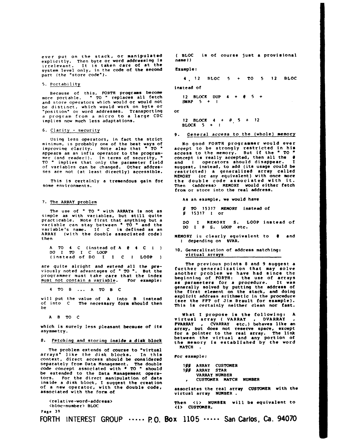ever put on the stack, **or** manipulated explicitly. Then byte **or** word addressing **is**  irrelevant. It is taken care of at the system level only, in the code **of** the second part (the "store code").

#### *5.* Portability

Because **of** this, FORTH programs become more portable. " TO " replaces all fetch and store operators which would **or** would not be distinct, which would work on byte **Or "pos 1** t ion" or word addresses. Transporting a program from a micro to a large CDC implies **now** much less adaptations.

#### **6.** Clarity - security

Using less operators, in fact the strict Using less operators, in fact the strict<br>minimum, is probably one of the best ways of<br>improving clarity. Note also that "TO " appears **as** an infix operator to the program- mer (and readerl). In terms of security, " **TO** " implies that only the parameter field of variables can be changed. Other addresses are not (at least directly) accesstble.

This is certainly a tremendous gain **€or** some envtronments.

The use of " TO " with ARRAYs is not as simple as with variables, but still quite practicable. Note first that anything but a<br>variable can stay between <sup>o</sup> TO " and the **DO I @ S. LOOP etc.**<br>variable's name. If C is defined as an **DO I @ S. LOOP etc.**<br>ARRAY (with the double associated code) **serving is** 

A TO 4 C (instead of A  $\theta$  4 C 1) 10. Generalization of address matching:<br>DO I TO I C LOOP virtual arrays continues **DO** I **1y)** I *C* **LOOP** virtual **arrays** (.instead of DO I I C I LOOP

are quite alright and extend all the previously noted advantages of " TO ". But the programmer must take care that the index must not contain a variable. For example:

4 TO B ... A TO B C

put the value of A into B instead<br>of into C The necessary form should then the PPT of Jim Brault for example).<br>be

arrays" like the **disk** blocks. In this example: context, direct access should **be** considered separately from Data Management. The double *1/11* ARRAY **CUSTOUER**  code concept associated with *TO* should **Ig0 ARRAY** STAR be extended to the Data Management operators. For the direct manipulation of data , Customer RATCR NUMBER<br>tors. For the direct manipulation of data , CUSTOMER MATCR NUMBER<br>inside a disk block, I suggest the creation of a new operator, with the double Cde, associates the real **arrw** CUSTOMER with the associated with the **form at** virtual array **NUMBER** .

**Page 39** 

( BLOC in of course just a provisional name *1* )

#### Example :

**<sup>4</sup>**, **<sup>12</sup>BLOC 5** + TO *5* **12** BLOC

instead of

**12** BLOCK DUP **4** + @ *5* + **SWAP** *5* + **I** 

**Or** 

**12 BLOCK 4** + @, *5* + **12 BLOCK** *5* + **<sup>I</sup>**

9. General access to the (whole) memory

**No** good FORTH programmer would ever accept to be strongly restricted in his access to the memory. But if the "TO concept is really accepted, then all the **<sup>Q</sup>** and I operators should disappear. suggest, instead, to add (its usage could be restricted) a generalized array called MEMORY **(or** any equivalent) with once more the double code associated with it. Then <address> MEMORY would either fetch **€rom or** store into the real address.

As **an** example, we would have **7.** The ARRAY problem

- / TO **15317** MEMORY instead **of**
- **DO** I MEMORY **S.** LOOP instead *o€*  **DO** I @ **S. LOOP** etc.
- ARKAI (with the double associated code) **MEMORY** is clearly equivalent to **e** and<br>then lidepending on \$VAR.
	-

The previous points 8 and 9 suggest a further generalization that may solve another problem we have had since the beginning of FORTH: the use of arrays as parameters for a procedure. It was<br>generally solved by putting the address of<br>the first element on the stack, and doing<br>explicit address arithmetic in the procedure<br>(see the FPT of Jim Brault for example).

A B TO C<br>A B TO C<br>which is surely less pleasant because of its<br>which is surely less pleasant because of its<br>array, but does not reserve space, except asymmetry. **€or** a pointer to the real array. The link between the virtual and any portion **Of** *8.* Fetching and **Storing** inside a disk block the me,,,ory **is** by the word 8. Fetching and storing inside a disk block<br>The memory is established by the word<br>The problem extends of course to "virtual MATCH.

| gg | <b>ARRAY</b> | <b>CUSTOMER</b> |      |
|----|--------------|-----------------|------|
| gg | <b>ARRAY</b> | STAR            |      |
|    |              | VARRAY NUMBER   |      |
|    |              | CUSTOMER MATCH  | NUMB |

<relative-word-address> Then **<i>** NUMBER will bo equivalent **to**  <bloc-number, **BLOC** *<i>* **CUSWGR.** 

**FORTH INTEREST GROUP** \*\*-\*\* **RO. BOX 1105** \*-\*\*\* **San Carlos,** *Ca.* **94070**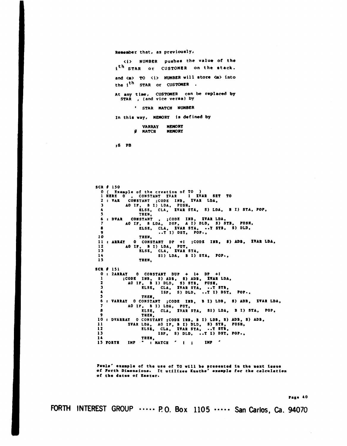#### **Runember** that, **as previouS1Yr**

**<i> NUMBeR pushes the value of the ith STAR or CUSTOMER on** the **rtack.**  and  $\langle m \rangle$  TO  $\langle i \rangle$  NUMBER will store  $\langle m \rangle$  into the i<sup>th</sup> STAR or CUSTOMER.

At any time, CUSTOMER can be replaced by **STAR** , **(and** vice **versa) by** 

**STAR MATCH NUM0ER** 

In this way, **MEMORY** is defined by

**VARRAY MEMORY g HATCH** 

**;S PB** 

SCR # **150**  *0* ( Example of **the creation of TO** ) **1 HERE 0** , CONSTANT **XVAR 1** XVAR **SET TO <sup>2</sup>**: **OAR** CONSTANT ;CODE **INB.** XVAR LDA, 3 **A0 IF. B I)** LDA. **PUSH. 5** TREN. **<sup>6</sup>**: DVAR CONSTANT , ;CODE **INB. XVAR** LDA, **4** ELSE, CLA, **XVAR STA,** *8)* LDA, **B I) STA. 7 A0 IF. B** IDA, **DSP. A I)** DLD, **S) STB, ?USR.**  8 ELSE, CLA, XVAR **STA, -.T 8TB. S)** DLDI *<sup>9</sup>***..T** I) DST, **POP.,**  *10* TREN. **12 A0 I?. B I)** LDA, **PUT. 13** ELSE. CLA. XVAR **STA,**  *14* **S1)** IDA, **B I) STA, ?O?., 15 TREN, 11** *t* **ARRlT** *0* CONSTANT DP **+I** ;CODE **IRB,** *8)* **ADIS XvAR** LDAI **SCR # 151**<br>0 : 2**ARRAY** *0 8* **2ARRAT 0** CONSTANT DU? + **I+** D? **+I <sup>1</sup>**;CODE **INB, S)** ADD, *8)* ADS, **XIAR** LDA. **2 A0 I?. I) I)** DLD. **S) 8TB. ?USR.**  3 ELSE, CLA, **XVAR StA, ..T STBs 4 ISP, S)** DLD, **e.7 I)** DST. **PO?.. 5 TRII, 6 I** VARRAT **0** CONSTANT **;CODE IUD, B 1)** LDB, *8)* ADD, **XVAR** LDA, *<sup>I</sup>***A0 IF, B I)** LDA, **PUT,**  *8* ELSE. CLA, XVAR **STA,** *S1)* LDA, **B** I) **STA, POP,**  9<br>
10 : DVARRAT O CONSTANT ;CODE INB, B I) LDB, S) ADB, S) ADB,<br>
11 XVAR LDA, AO IF, B I) DLD, S) STB, PUSH,<br>
12 ELSE, CLA, XVAR STA, ..T STB,<br>
13 ISP, S) DLD, ..T I) DST, POP., **14 TREI, 15 PORTB IMP** : NATCR ' I ; **IN?** '

Pauls' example of the use of TO will be presented in the mext issue<br>of Forth Dimensions. It utilizes Knuths' example for the calculation of the dates of Easter.

**40** 

**FORTH INTEREST GROUP** \*\*\*-\* **PO. BOX 1105** \*\*\*\*\* **San Carlos,** *Ca.* **94070**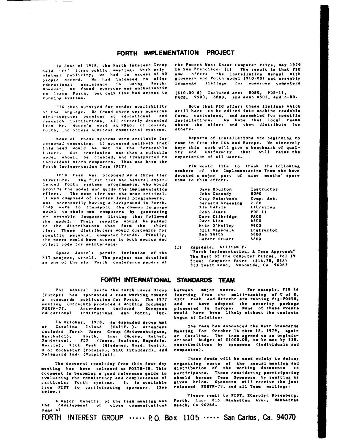# **FORTH IMPLEMENTATION PROJECT**

heid **its'** first public meeting. with only **in San** Francisco.' **Ill** The result **ie** that **PIC**  people attend. Ue had intended to Offer glOSs\*rY and Forth **model** (\$10.00) and asaarbly educational assistance in using Forth, language listings for numerous computers<br>However, we found everyone—was—anthusiastic<br>to learn Forth, but—only—five—had—access\_to (\$10.00 ) Included—are: 8080, PDP-11, rowever, we round everyone was uncodenable to (\$10.00 @) Included are: 8080, PDP-11,<br>to learn Forth, but only five had access to (\$10.00 @) Included are: 8080, PDP-11,<br>running systems.

of the language. We found there were numerous Forth. Inc offers numerous commercial systems. **Others.** 

**None** of these systems vere available for personal computing. It appeared unlikely that! thla need vould be met **in** the forseeable future. **Our** conclurion vas.that **a** suitable model should be created, and transported **to**  individual micro-computers. Thus was born the Forth Implementation Team (FIT).

This team **was** proposed **as a** three tier atructure. **The** first tter had several experienced Forth systems programmers, who would provide the model and guide the implementation effort. **The** next tIer vaa the moat critical. It was composed of systems level programmers, not necessarily havtng *8* background **in** Forth. They were to transport the common language model to their **own** computerm by generating an assembly language listing that followed the model. Their results would be passed to the distributors that form the third tier. These distributors would customize for apecif ic personal computer brands. Finally, the **nsera** could have access to both source and object code for maintenance.

Space doesn't permit inclumion of the FIT project. itself. The project **wan** detailed **as one** of the **six** Forth conference papers at

**In** June of 1978. the Forth Interest Croup the Fourth west Coaet Computer **Fairs, May** *1919*  **now** offers the Installation Manual with<br>glossary and Forth model (\$10.00) and assembly

FIG then surveyed for vendor availability **Note that FIG offers these listings which**<br>e language, We found there were numerous still have to be edited into machine readable form, customized, and assembled for specific<br>installations. We hope that local teams research lnatitutione. all directly decended inatallatlons. **We** hapa that local **teama from Mr.** Uoore's word st **NRAO. Of** course. share the effort and then distribute **for** 

> Reports of installations are beginning to come **in** from the **USA** and Europe. We sincerely hope this vork vill give **a** benchmark of qual-ity and uniformity that vill **raise** the expectation of **all** usera.

> FIG would like to thank the following members of the Implementation Team **who** have devoted **a major** part of oine months' spare **tire** to this effort.

| Dave Boulton     | Instructor    |
|------------------|---------------|
| John Cassady     | 8080          |
| Gary Feierbach   | Comp. Aut.    |
| Bernard Greening | $2 - 80$      |
| Kim Harris       | Librarian     |
| John James       | <b>PDP-11</b> |
| Dave Kilbridge   | PACE          |
| Dave Lion        | 6800          |
| Mike O'Malley    | 9900          |
| Bill Ragsdale    | Instructor    |
| <b>Bob Smith</b> | 6800          |
| LaFarr Stuart    | 6800          |

**(11** Pagadale. William **F.**  "Forth Implementation. **A Team** Approach" The Best *of* the Computer **Fairea. Vol II**  from: Computer **Fsire (\$14.78, USA) 333** Svett **Road.** Woodaide. **CA** 94062

# **FORTH INTERNATIONAL** *STANDARDS* **TEAM**

For several years the Forth Users Group (Europe) has sponsored **a** team **vorking** tovard a standards publication for Forth. The 1977 meeting (Utrechtl produced **a** vorking document FORTH- **77.** Attendees included European educational institutions and Forth, **Ioc.** 

**In** October. 1978. **an** expanded group **MC**  at Catalina laland (Calif. )- Attendees included Forth Users Group (Neiuwenhuigzen, Bartholdi). **Forth,** Inc. (Moore. Rather, Sandereon). **FIG** (James. Boulton, **Ragadale.**  Harris). Kitt Peak (Miedsner. Goad, Scott). **<sup>U</sup>**of Rochester (Forsley). **SLAC** (Stoddard). **and**  Safeguard Ind. (Vurpillat).

**The** document resulting from this four day meeting has been released **a8** FORTE-78. Thie document **is** becoming **a** good refereoce guide **in**  evaluating the consistency and **corpleteneas of**  particular Forth systems. It **is** available from FIST to participating aponsors. (See b **low.** )

**<sup>A</sup>major** benefit of the **tear meetin8** van Forth, Inc. **815** Manhattan Ave., Nanhettam the development **of** close communicaciona **Beach.** *CA* 90266. **Page 41 FORTH INTEREST** GROUP \*.\*\*- **PO, BOX 1105** .\*\*\*\* **San Carlos,** *Ca.* **94070** 

between major users. **For example, FIG is**<br>learning from the multi-tasking of U of R<sub>.</sub><br>Kitt Peak and Utrecht are running fig-FORTR, and **ue** have adopted the security package pionaered **in** Europe. None of theme **event.**  would have been likely without the contacts begun at Catalina.

The **Team** hos announced **tbe next** Standard. Meeting **for** October **14** tbru **18. 1979, again**  at Catalina. The team agreed **on an** orginit-ational budget of **\$1000.00, to** be met by \$30. contribuitions by aponaore (individuala and companica *f* .

**These** fuode vil1 **be** used **solely** to defray organizing costs of the annual-meeting and<br>distribution of the working documents to participants. Those considering participating ahould become **Team** Sponsors by remiting as<br>given below. Sponsors will receive the just releaned **FORTU-78.** and a11 **Team** uilinga. **1.** 

Please remit to **FIST**, *X*Carolyn Rosenberg.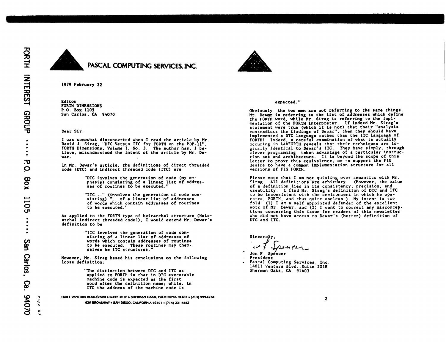



1979 February **22** 

Editor FORTH DIMENSIONS P.O. **Box** 1105 San Carlos, CA 94070

Dear **Sir:** 

I was somewhat disconcerted when I read the article by Mr. David J. Sirag. "DTC Versus ITC for **FORTH** on the PDP-11". FORTH Dimensions, **Volumc 1. No.** 3. The author has, I **be**lieve. misunderstood the intent of the article by **Mr. De-** war.

In Mr. Dewar's article, the definitions of direct threaded code (DTC) and indirect threaded code (ITC) are

"DTC involves the generation **of** code **(my** em- phasis) consisting of a linear Aist of addres- ses of routines to be executed.

"ITC ..." (involves the generation **of** code con- sisting) ". . .of a linear list of addresses of vords which Eontain addresser **of** routine. to be executed.

**As** ap lied to the FORTH type **of** heirarchal structure (Heirarcha! indirect threaded code?), I vould extend Mr. Dewar'r definition to be

> "LTC involves the generation of code consisting **of** a linear list of addresses of words which contain addresses of routines to be executed. These routines may themselves be ITC structures.'

However, **Mr.** Sirag based his conclusions *on* the following loose definition:

> "The distinction between DTC and ITC as applied to FORTH **is** that in DTC executable machine code **is** expected **as** the first word after the definition name; while. **in**  ITC the address of the machine code **is**

**1.011** *~SoU~MD* **201L** *OW. CNPORMA* **91403 (213) 99Y4238**  *6%* **MOmAV SAlC DIEGO.** CNNoRPllA **921 01** . **(7 14) 23 I 4M2** 

### expected. '\*

Obviously the two men are not referring to the same things. Nr. **Deuy is** referring **to** the list of addresses which deffne the FORTH word, while Mr. Sirag is referring to the implmentation of the FORTH interpreter. If indeed Mr. Sirag's statement were true (which it is not) that their "analysis contradicts the findings of Dewar", then they should have<br>implemented a DTC language rather than the ITC language of<br>FORTH! Indeed, a careful examination of what is actually occuring in **IABFORTH** reveals that their techniques are **10**  gically identical to Dewar's ITC. They have simply. through clever programing. taken advantage of a particular instruction set and architecture. It **is** beyond the scope of this letter **eo** prove this equivalence, or to support the **FIG**  desire to have a common implementation structure for all versions of **FIG FORTH.** 

Please note that I am not quibling over semantics with Mr.<br>Sirag. All definitions are arbituary. (However, the value of **a** definition lies in its consistency. precision, and useability. **I** find Mr. Sirag's definition of DTC and 1TC to be inconsistant with the environment in which he operates, FORTH, and thus quite useless.) My intent **is** tw fold: (1) I am a self appointed defender of the excellent **work** of **Mr.** Dewar, and **(2)** I want to correct any misconceptions concerning this issue for readers **of** this newsletter who did not have access to Dewar's (better) definition of DTC and ITC.

**Sincere** 

Jon F. Sp.<br>President

- Pascal Computing Services, Inc.<br>14011 Ventura Blvd., Suite 201E Sherman Oaka, **CA** 91403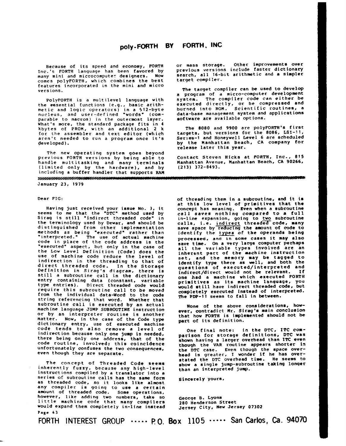#### poly-FORTH BY FORTH, INC

**Because of its speed and economy, FORTH Inc.'s FORTH language has been favored by many mini and microcompute? designers. NOW comes polyFORTH, which combines the best features incorporated in the mini and micro versions.** 

**PolyFORTH is a multilevel language with the essential Eunctions (e.g., basic arithmetic and logic operators) in a 512-byte nucleus, and user-defined "words' (comparable to macros) in the outermost layer. What's more, the standard package fits in 4 kbytes of PROM, with an additional 2 k €or the assembler and text editor (which aren't needed to run a proqram once it's developed).** 

**The new operating system goes beyond previous FORTH versions by being able to handle molt itasking and many terminals (limited only by the hardware), and by including a buffer handler that supports RAM** 

**January 23, 1919** 

## **Dear FIG:**

**Having just received your issue NO. 3, it seems to me that the "DTC" method used by Siraq is still .indirect threaded code" in the terminology used by Dewar, and should be distinguished from other implementation methods as being "executed" rather than "interpreted." The use of actual machine code in place of the code address is the "executed" aspect, but only in the case of**<br>the Low Level Definition (Code) does the the Low Level Definition (Code) does the<br>use of machine code reduce the level of **indirection in the threading to that of direct threaded code. In the Storage Definition in Sirag's diagram, there is still a subroutine call in the dictionary entry containing data (constant, variable type entries). Direct threaded code would require this subroutine call to be moved from the individual data-Word to the code string referencing that word. Whether that subroutine call is executed by an actual**  or by an interpreter routine is another **matter. Now, in the case of the Code type dictionary entry** , **use of executed machine code tends to also remove a level of indirection because only one jump is needed, there being only one address, that of the code routine. involved: this coincidence unfortunately confuses the two consequences, even though they are separate.** 

**The concept of Threaded Code seems**  inherently fuzzy, because any high-level **instructions compiled by a translator into a series of subroutine calls has the same form as threaded code, so it looks like almost any compiler is gornq to use a certain amount of threaded code. Some operations, however, like adding two numbers, take so little machine code that many comptlers would expand them completely in-line instead** 

**or mass storage. Other improvements over previous versions include faster dictionary search, all 16-bit arithmetic and a simpler target compiler.** 

**The target compiler can be used to develop<br><b>a** program of a micro-computer development **system. The compiler code can either be executed directly, or be compressed and data-base management system and applications software are available options.** 

**The 8080 and 9900 are po1yFORTH's first targets, but versions for the 8086, LSI-11, Series-1 and Honeywell Level 6 are scheduled by the Hanhattan Beach, CA company for release later this year.** 

**Contact Steven Hicks at FORTH, Inc.,** *815*  Manhattan Avenue, Manhattan Beach, CA 90266, **(213) 372-8493.** 

**of threading them in a subroutine, and it is at thie low level of primitives that the concept has meaning. Even when a subroutine call saves nothing compared to a full in-line expansion, going to two subroutine**  calls, i.e. indirect threaded code, many **save space by reducing the amount of code to identify the types of the operands being processed, and in some cases it nay also save time. On a very large computer perhaps all the variable types involved are an inherent part of the machine in8truction set, and the memory may be tagged to identify type there as well, and both the questions of executed/interpreted and indirect/direct would not be relevant. If one had a machine which executed FORTH primitives as its machine language, you would still have indirect threaded code, but completely executed instead of interpret&. The PDP-11 seems to fall in between.** 

**None of the above considerations, however, contradict Mr. Sirag's main conclusion that how FORTH is implemented should not be part of its definition.** 

One final note: in the DTC, ITC com-<br>parison for storage definitions, DTC was **shown having a larger overhead than ITC even<br>though the VAR routine appears shorter in<br>the DTC case. Even though the space overthe DTC case. Even though the space over- head is greater, I wonder if he has overstated the DTC overhead time. He seems to show a single jump-subroutine taking longer than an interpreted jump.** 

**sincerely yours.** 

**Ceorqe B. Lyons 280 Henderson Street Jersey City, New Jersey 07302** 

**Page 43** 

FORTH INTEREST GROUP \*\*\*\*\* **I?** 0. **Box** 1105 \*\*\*.\* **San Carlos,** *Ca.* **94070**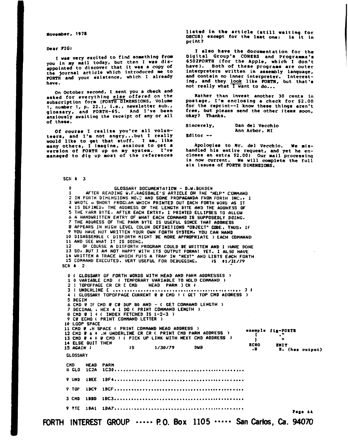November, 1978

Dear PIG:

**I** was very excited to find sowthing **from**  you in my mail today, but then I was disappointed **to** discover that it was a copy **of**  the journal article which introduced **me** to **PORTH** and your existence, which I already have.

On October second, I sent you a check and asked for everything else offered on the subscription form (FORTH DIMENSIONS, Volume **1,** number **1,** p. **22.),** i.e., newsletter sub., glossary, and **FORTH-65.** anxiously awaiting the receipt of any or all of these.

Of course I realize you're all volun-teers, and I'm not angry ... but I really would like to get that stuff. I am, like many others, I imagine, anxious to get a version of PORTA up on ny system. I've managed to dig up most of the references

listed in the article (still waiting for **DECUS)** except **for** tho laat **one:** is it in print?

I also have the documentation for the Digital Group's CONeRS and Programma's **6502PORTII** /for the Apple, which I don't have). Both **of** theae programs are outer interpreters written in assembly language, and contain no inner interpreter. Interesting, and they look like **PORTR,** but that's not really what I want to do..

Rather than invest another 30 cents in postage, **I'm** enclosing **a** check for *\$2.00*  **for** the reprint--I know these things aren't free, but pleaes send the other items soon, okay? Thanks.

Sincerely. Dan del Vecchio Ann Arbor. **MI** 

editor --

Apologia6 to **Mr.** del Vecchlo. **We ris**handled his entire requeat, and yet he encloses an extra *\$2.001* Our mail processing **is** now current. **We** will complete the full six issues of **PORTH DIMENSIONS.** 

SCR **t3** 

**0**  GLOSSARY DOCUMENTATION - D.W.BORDEN **1**  AFTER READING U.F.KAGSDALE'S ARTICLE *ON* IHE 'HELP' CONH&NII **2**  IN FORTH IJIHENSIONS NO,? AND SOHE PROPACNDA FHOII FORTH INC.9 **I 3 UROTE H SHORl FROGI.AR** UHICH PRINTED OUT EACH FORTH **UORU** AS IT **4 IS DEFINEDi** THE ADKIRESS OF THE LENGTH BYTE AND THE **ADDRESS** OF **5 THE PARM BYTE. AFTER EACH ENTRY, I PRINTED ELLIPSES TO ALLOW** *6*  A HANDUHITTEN ENTRY OF YHAT EACH COMMAND IS SUPPOS€DLY DOING. **7**  THE ADirRESS OF THL PAHH BYTE IS USEFUL SINCE **THAT** ADDRESS *8*  APPEARS **IN HIGH** LEVEL COLON DEFINITIONS 'OBJECT' CODE. **THUSv** IF *9*  YOU HAVE NOT URITlEN YOUR OUN FORTH SYSTEHr YOU CAN HAND **10**  DISASSEHBLE ( **UISFORTH** RIGHT BE WORE APPROPRIATE ) **EMH COHHAND DISASSEMBLE ( DISFORTH MIGHT BE MORE APPROPRIATE ) EACH COMMAND<br>AND SEE WHAT IT IS DOING.<br>OF COURSE A DISFORTH PROGRAM COULD BE WRITTEN AND I HAVE DONE<br>SO, BUT I AM NOT HAPPY WITH ITS OUTPUT FORMAT YET. I ALSO HAVE<br>WEITTE 11**  AND SEE UHAT IT **IS DOING. 12**  13 SO, BUT I AM NOT HAPPY WITH ITS OUTPUT FORMAT YET. I ALSO HAVE **14 15**  UHITTEN A TRACE WHICH **PUTS** A TRAP IN "NEXT' AND LISTS **EACH** FORTH COHHCIND EXECUTED. VERY USEFUL FOR DEBUGGING. **8s** *Ol/\_S1/79*  SCR **4** 2 **0**  *<sup>4</sup>*GLOSSARY OF FORTH UORDS UITH HEhD AND PARH ADDRESSLS ) **2**  : TOPOFPACE **CR** CR **C CMD** HEAD PARH **1 CW** *<sup>i</sup>* : UNDERLINE **<sup>C</sup>** \* . **eo e w** . . . .\* . \* . *be@ 0.* **.ee 09** .\* **<sup>3</sup>**# **1**  0 VARIABLE CHD ( TEMPORARY VARIABLE TO **HOLD** COMMAND ) **4**  : GLOSSARY TOPOFPACE CURRENT **P P** CND ! ( CE1 TOP CMD **ADDRESS** ) **3 : UNDERLINE C ........... 5**  hEGIN **6**  CHD **e** IF CMD **Q** ce DUP **80** AND - ( GET COMMAND LENGTH ) *8* **CMD @ IF CMD @ C@ DUP 80 AND - ( GET COMMAND L<br>** *7* **DECIMAL . HEX 4 1 DO ( PRINT COMMAND LENGTH )<br>
8 CM ECUA ( ONINT COMMAND LETTER )<br>
2 CM ECUA ( ONINT COMMAND LETTER )** *9* **Ce** ECHO ( PRINT COHHAND LETTER ) **10** LOOP SPACE 11 CHD 0 **.H SPACE ( PRINT COMMAND HEAD ADDRESS )**<br>12 CMD 0 6 + .H UNDERLINE CR CR ( PRINT CMD PARM ADDRESS )<br>13 CMD 0 4 + 0 CMD ! ( PICK UP LINK WITH NEXT CMD ADDRESS ) example fig-FORTH T.  $\hat{\mathbf{u}}$ -1 14 ELSE QUIT THEN **ECHO ZMIT** 15 AGAIN ;  $55$ 1/30/79 **DUB** H. (hex output) **GLOSSARY CMD HEAD PARM** 8 GLO 9 UND 9 TOP 9 PTE 1BA1 1BA7..................... Page 44

**FORTH INTEREST GROUP**  $\cdots$  **P.O. Box 1105**  $\cdots$  **San Carlos, Ca. 94070**